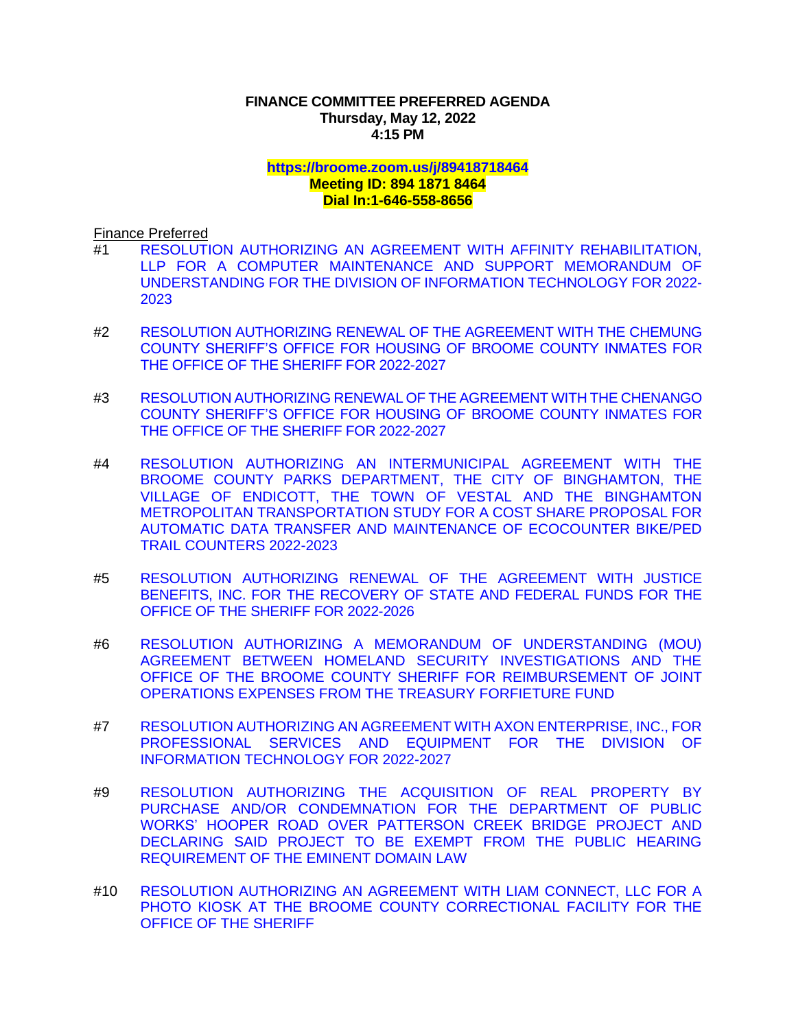## **FINANCE COMMITTEE PREFERRED AGENDA Thursday, May 12, 2022 4:15 PM**

## **<https://broome.zoom.us/j/89418718464> Meeting ID: 894 1871 8464 Dial In:1-646-558-8656**

Finance Preferred

- #1 [RESOLUTION AUTHORIZING AN AGREEMENT WITH AFFINITY REHABILITATION,](https://www.gobroomecounty.com/sites/default/files/dept/legis/05192022-01.pdf)  [LLP FOR A COMPUTER MAINTENANCE AND SUPPORT MEMORANDUM OF](https://www.gobroomecounty.com/sites/default/files/dept/legis/05192022-01.pdf)  [UNDERSTANDING FOR THE DIVISION OF INFORMATION TECHNOLOGY FOR 2022-](https://www.gobroomecounty.com/sites/default/files/dept/legis/05192022-01.pdf) [2023](https://www.gobroomecounty.com/sites/default/files/dept/legis/05192022-01.pdf)
- #2 [RESOLUTION AUTHORIZING RENEWAL OF THE AGREEMENT WITH THE CHEMUNG](https://www.gobroomecounty.com/sites/default/files/dept/legis/05192022-02.pdf)  [COUNTY SHERIFF'S OFFICE FOR HOUSING OF BROOME COUNTY INMATES FOR](https://www.gobroomecounty.com/sites/default/files/dept/legis/05192022-02.pdf)  [THE OFFICE OF THE SHERIFF FOR 2022-2027](https://www.gobroomecounty.com/sites/default/files/dept/legis/05192022-02.pdf)
- #3 [RESOLUTION AUTHORIZING RENEWAL OF THE AGREEMENT WITH THE CHENANGO](https://www.gobroomecounty.com/sites/default/files/dept/legis/05192022-03.pdf)  [COUNTY SHERIFF'S OFFICE FOR HOUSING OF BROOME COUNTY INMATES FOR](https://www.gobroomecounty.com/sites/default/files/dept/legis/05192022-03.pdf)  [THE OFFICE OF THE SHERIFF FOR 2022-2027](https://www.gobroomecounty.com/sites/default/files/dept/legis/05192022-03.pdf)
- #4 [RESOLUTION AUTHORIZING AN INTERMUNICIPAL AGREEMENT WITH THE](https://www.gobroomecounty.com/sites/default/files/dept/legis/05192022-04.pdf)  [BROOME COUNTY PARKS DEPARTMENT, THE CITY OF](https://www.gobroomecounty.com/sites/default/files/dept/legis/05192022-04.pdf) BINGHAMTON, THE [VILLAGE OF ENDICOTT, THE TOWN OF VESTAL AND THE BINGHAMTON](https://www.gobroomecounty.com/sites/default/files/dept/legis/05192022-04.pdf)  [METROPOLITAN TRANSPORTATION STUDY FOR A COST SHARE PROPOSAL FOR](https://www.gobroomecounty.com/sites/default/files/dept/legis/05192022-04.pdf)  [AUTOMATIC DATA TRANSFER AND MAINTENANCE OF ECOCOUNTER BIKE/PED](https://www.gobroomecounty.com/sites/default/files/dept/legis/05192022-04.pdf)  [TRAIL COUNTERS 2022-2023](https://www.gobroomecounty.com/sites/default/files/dept/legis/05192022-04.pdf)
- #5 [RESOLUTION AUTHORIZING RENEWAL OF THE AGREEMENT WITH JUSTICE](https://www.gobroomecounty.com/sites/default/files/dept/legis/05192022-05.pdf)  [BENEFITS, INC. FOR THE RECOVERY OF STATE AND FEDERAL FUNDS FOR THE](https://www.gobroomecounty.com/sites/default/files/dept/legis/05192022-05.pdf)  [OFFICE OF THE SHERIFF FOR 2022-2026](https://www.gobroomecounty.com/sites/default/files/dept/legis/05192022-05.pdf)
- #6 [RESOLUTION AUTHORIZING A MEMORANDUM OF UNDERSTANDING \(MOU\)](https://www.gobroomecounty.com/sites/default/files/dept/legis/05192022-06.pdf)  [AGREEMENT BETWEEN HOMELAND SECURITY INVESTIGATIONS AND THE](https://www.gobroomecounty.com/sites/default/files/dept/legis/05192022-06.pdf)  [OFFICE OF THE BROOME COUNTY SHERIFF FOR REIMBURSEMENT OF JOINT](https://www.gobroomecounty.com/sites/default/files/dept/legis/05192022-06.pdf)  [OPERATIONS EXPENSES FROM THE TREASURY FORFIETURE FUND](https://www.gobroomecounty.com/sites/default/files/dept/legis/05192022-06.pdf)
- #7 [RESOLUTION AUTHORIZING AN AGREEMENT WITH AXON ENTERPRISE, INC., FOR](https://www.gobroomecounty.com/sites/default/files/dept/legis/05192022-07.pdf)  [PROFESSIONAL SERVICES AND EQUIPMENT FOR THE DIVISION OF](https://www.gobroomecounty.com/sites/default/files/dept/legis/05192022-07.pdf)  [INFORMATION TECHNOLOGY FOR 2022-2027](https://www.gobroomecounty.com/sites/default/files/dept/legis/05192022-07.pdf)
- #9 [RESOLUTION AUTHORIZING THE ACQUISITION OF REAL PROPERTY BY](https://www.gobroomecounty.com/sites/default/files/dept/legis/05192022-09.pdf)  [PURCHASE AND/OR CONDEMNATION FOR THE DEPARTMENT OF PUBLIC](https://www.gobroomecounty.com/sites/default/files/dept/legis/05192022-09.pdf)  [WORKS' HOOPER ROAD OVER PATTERSON CREEK BRIDGE PROJECT AND](https://www.gobroomecounty.com/sites/default/files/dept/legis/05192022-09.pdf)  [DECLARING SAID PROJECT TO BE EXEMPT FROM THE PUBLIC HEARING](https://www.gobroomecounty.com/sites/default/files/dept/legis/05192022-09.pdf)  [REQUIREMENT OF THE EMINENT DOMAIN LAW](https://www.gobroomecounty.com/sites/default/files/dept/legis/05192022-09.pdf)
- #10 [RESOLUTION AUTHORIZING AN AGREEMENT WITH LIAM CONNECT, LLC FOR A](https://www.gobroomecounty.com/sites/default/files/dept/legis/05192022-10.pdf)  [PHOTO KIOSK AT THE BROOME COUNTY CORRECTIONAL FACILITY FOR THE](https://www.gobroomecounty.com/sites/default/files/dept/legis/05192022-10.pdf)  [OFFICE OF THE SHERIFF](https://www.gobroomecounty.com/sites/default/files/dept/legis/05192022-10.pdf)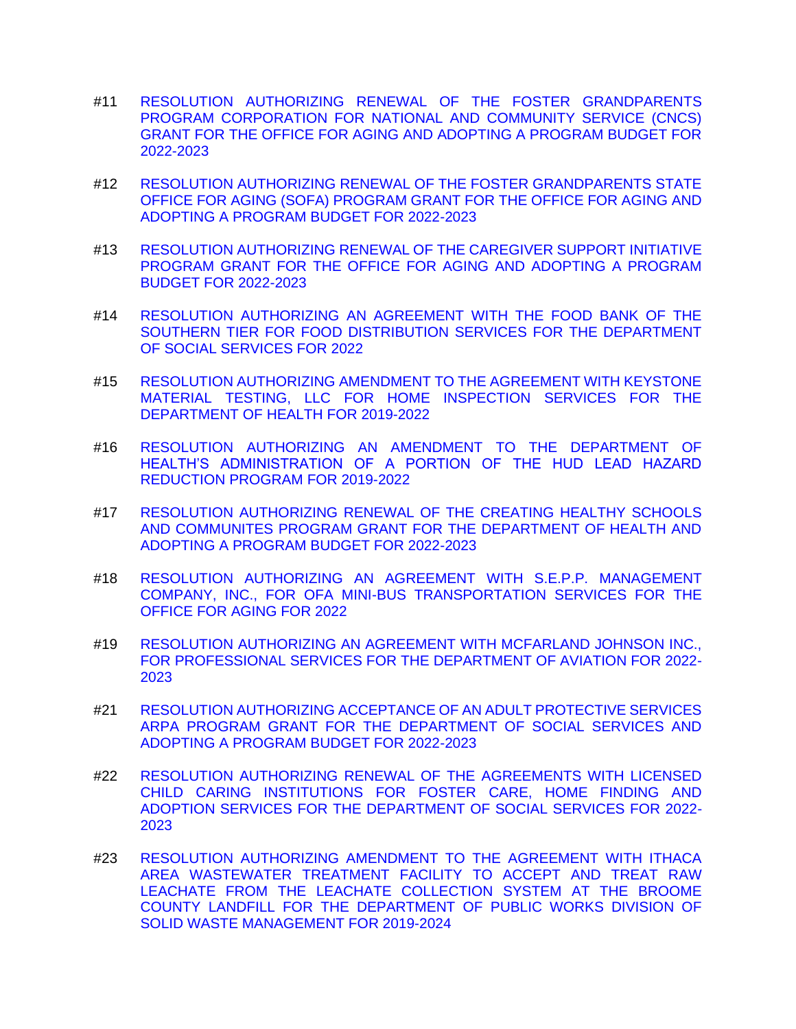- #11 [RESOLUTION AUTHORIZING RENEWAL OF THE FOSTER GRANDPARENTS](https://www.gobroomecounty.com/sites/default/files/dept/legis/05192022-11.pdf)  [PROGRAM CORPORATION FOR NATIONAL AND COMMUNITY SERVICE \(CNCS\)](https://www.gobroomecounty.com/sites/default/files/dept/legis/05192022-11.pdf)  [GRANT FOR THE OFFICE FOR AGING AND ADOPTING A PROGRAM BUDGET FOR](https://www.gobroomecounty.com/sites/default/files/dept/legis/05192022-11.pdf)  [2022-2023](https://www.gobroomecounty.com/sites/default/files/dept/legis/05192022-11.pdf)
- #12 [RESOLUTION AUTHORIZING RENEWAL OF THE FOSTER GRANDPARENTS STATE](https://www.gobroomecounty.com/sites/default/files/dept/legis/05192022-12.pdf)  [OFFICE FOR AGING \(SOFA\) PROGRAM GRANT FOR THE OFFICE FOR AGING AND](https://www.gobroomecounty.com/sites/default/files/dept/legis/05192022-12.pdf)  [ADOPTING A PROGRAM BUDGET FOR 2022-2023](https://www.gobroomecounty.com/sites/default/files/dept/legis/05192022-12.pdf)
- #13 [RESOLUTION AUTHORIZING RENEWAL OF THE CAREGIVER SUPPORT INITIATIVE](https://www.gobroomecounty.com/sites/default/files/dept/legis/05192022-13.pdf)  [PROGRAM GRANT FOR THE OFFICE FOR AGING AND ADOPTING A PROGRAM](https://www.gobroomecounty.com/sites/default/files/dept/legis/05192022-13.pdf)  [BUDGET FOR 2022-2023](https://www.gobroomecounty.com/sites/default/files/dept/legis/05192022-13.pdf)
- #14 [RESOLUTION AUTHORIZING AN AGREEMENT WITH THE FOOD BANK OF THE](https://www.gobroomecounty.com/sites/default/files/dept/legis/05192022-14.pdf)  [SOUTHERN TIER FOR FOOD DISTRIBUTION SERVICES FOR THE DEPARTMENT](https://www.gobroomecounty.com/sites/default/files/dept/legis/05192022-14.pdf)  [OF SOCIAL SERVICES FOR 2022](https://www.gobroomecounty.com/sites/default/files/dept/legis/05192022-14.pdf)
- #15 [RESOLUTION AUTHORIZING AMENDMENT TO THE AGREEMENT WITH KEYSTONE](https://www.gobroomecounty.com/sites/default/files/dept/legis/05192022-15.pdf)  [MATERIAL TESTING, LLC FOR HOME INSPECTION SERVICES FOR THE](https://www.gobroomecounty.com/sites/default/files/dept/legis/05192022-15.pdf)  [DEPARTMENT OF HEALTH FOR 2019-2022](https://www.gobroomecounty.com/sites/default/files/dept/legis/05192022-15.pdf)
- #16 [RESOLUTION AUTHORIZING AN AMENDMENT TO THE DEPARTMENT OF](https://www.gobroomecounty.com/sites/default/files/dept/legis/05192022-16.pdf)  [HEALTH'S ADMINISTRATION OF A PORTION OF THE HUD LEAD HAZARD](https://www.gobroomecounty.com/sites/default/files/dept/legis/05192022-16.pdf)  [REDUCTION PROGRAM FOR 2019-2022](https://www.gobroomecounty.com/sites/default/files/dept/legis/05192022-16.pdf)
- #17 [RESOLUTION AUTHORIZING RENEWAL OF THE CREATING HEALTHY SCHOOLS](https://www.gobroomecounty.com/sites/default/files/dept/legis/05192022-17.pdf)  [AND COMMUNITES PROGRAM GRANT FOR THE DEPARTMENT OF HEALTH AND](https://www.gobroomecounty.com/sites/default/files/dept/legis/05192022-17.pdf)  [ADOPTING A PROGRAM BUDGET FOR 2022-2023](https://www.gobroomecounty.com/sites/default/files/dept/legis/05192022-17.pdf)
- #18 [RESOLUTION AUTHORIZING AN AGREEMENT WITH S.E.P.P. MANAGEMENT](https://www.gobroomecounty.com/sites/default/files/dept/legis/05192022-18.pdf)  [COMPANY, INC., FOR OFA MINI-BUS TRANSPORTATION SERVICES FOR THE](https://www.gobroomecounty.com/sites/default/files/dept/legis/05192022-18.pdf)  [OFFICE FOR AGING FOR 2022](https://www.gobroomecounty.com/sites/default/files/dept/legis/05192022-18.pdf)
- #19 [RESOLUTION AUTHORIZING AN AGREEMENT WITH MCFARLAND JOHNSON INC.,](https://www.gobroomecounty.com/sites/default/files/dept/legis/05192022-19.pdf)  [FOR PROFESSIONAL SERVICES FOR THE DEPARTMENT OF AVIATION FOR 2022-](https://www.gobroomecounty.com/sites/default/files/dept/legis/05192022-19.pdf) [2023](https://www.gobroomecounty.com/sites/default/files/dept/legis/05192022-19.pdf)
- #21 [RESOLUTION AUTHORIZING ACCEPTANCE OF AN ADULT PROTECTIVE SERVICES](https://www.gobroomecounty.com/sites/default/files/dept/legis/05192022-21.pdf)  [ARPA PROGRAM GRANT FOR THE DEPARTMENT OF SOCIAL SERVICES AND](https://www.gobroomecounty.com/sites/default/files/dept/legis/05192022-21.pdf)  [ADOPTING A PROGRAM BUDGET FOR 2022-2023](https://www.gobroomecounty.com/sites/default/files/dept/legis/05192022-21.pdf)
- #22 [RESOLUTION AUTHORIZING RENEWAL OF THE AGREEMENTS WITH LICENSED](https://www.gobroomecounty.com/sites/default/files/dept/legis/05192022-22.pdf)  [CHILD CARING INSTITUTIONS FOR FOSTER CARE, HOME FINDING AND](https://www.gobroomecounty.com/sites/default/files/dept/legis/05192022-22.pdf)  [ADOPTION SERVICES FOR THE DEPARTMENT OF SOCIAL SERVICES FOR 2022-](https://www.gobroomecounty.com/sites/default/files/dept/legis/05192022-22.pdf) [2023](https://www.gobroomecounty.com/sites/default/files/dept/legis/05192022-22.pdf)
- #23 [RESOLUTION AUTHORIZING AMENDMENT TO THE AGREEMENT WITH ITHACA](https://www.gobroomecounty.com/sites/default/files/dept/legis/05192022-23.pdf)  [AREA WASTEWATER TREATMENT FACILITY TO ACCEPT AND TREAT RAW](https://www.gobroomecounty.com/sites/default/files/dept/legis/05192022-23.pdf)  [LEACHATE FROM THE LEACHATE COLLECTION SYSTEM AT THE BROOME](https://www.gobroomecounty.com/sites/default/files/dept/legis/05192022-23.pdf)  [COUNTY LANDFILL FOR THE DEPARTMENT OF PUBLIC WORKS DIVISION OF](https://www.gobroomecounty.com/sites/default/files/dept/legis/05192022-23.pdf)  [SOLID WASTE MANAGEMENT FOR 2019-2024](https://www.gobroomecounty.com/sites/default/files/dept/legis/05192022-23.pdf)